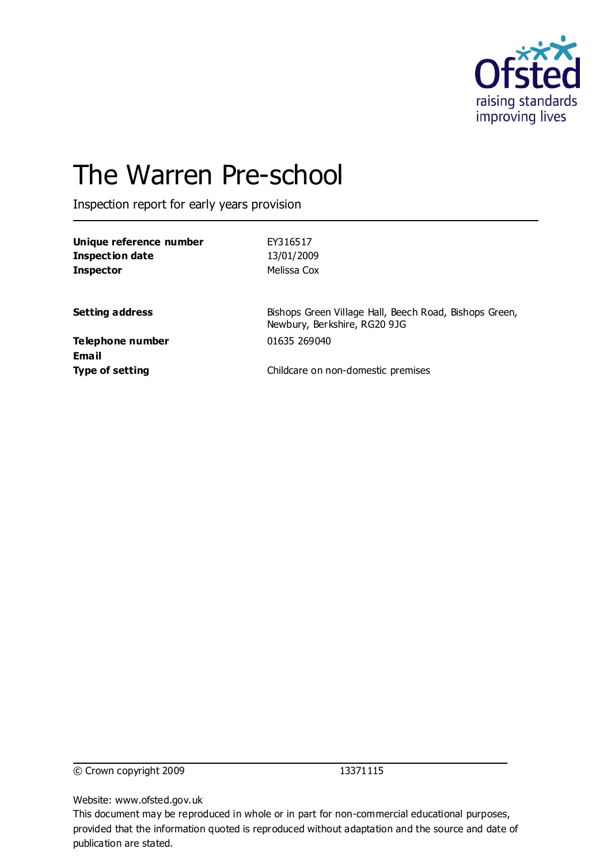

# The Warren Pre-school

Inspection report for early years provision

| Unique reference number<br><b>Inspection date</b><br><b>Inspector</b> | EY316517<br>13/01/2009<br>Melissa Cox                                                  |
|-----------------------------------------------------------------------|----------------------------------------------------------------------------------------|
| <b>Setting address</b>                                                | Bishops Green Village Hall, Beech Road, Bishops Green,<br>Newbury, Berkshire, RG20 9JG |
| Telephone number<br>Email                                             | 01635 269040                                                                           |
| <b>Type of setting</b>                                                | Childcare on non-domestic premises                                                     |

© Crown copyright 2009 13371115

Website: www.ofsted.gov.uk

This document may be reproduced in whole or in part for non-commercial educational purposes, provided that the information quoted is reproduced without adaptation and the source and date of publication are stated.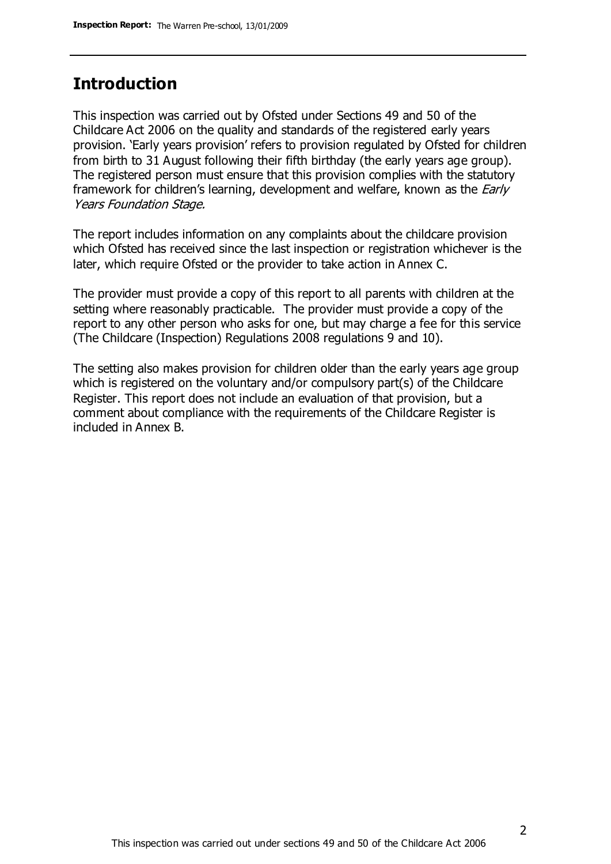### **Introduction**

This inspection was carried out by Ofsted under Sections 49 and 50 of the Childcare Act 2006 on the quality and standards of the registered early years provision. 'Early years provision' refers to provision regulated by Ofsted for children from birth to 31 August following their fifth birthday (the early years age group). The registered person must ensure that this provision complies with the statutory framework for children's learning, development and welfare, known as the *Early* Years Foundation Stage.

The report includes information on any complaints about the childcare provision which Ofsted has received since the last inspection or registration whichever is the later, which require Ofsted or the provider to take action in Annex C.

The provider must provide a copy of this report to all parents with children at the setting where reasonably practicable. The provider must provide a copy of the report to any other person who asks for one, but may charge a fee for this service (The Childcare (Inspection) Regulations 2008 regulations 9 and 10).

The setting also makes provision for children older than the early years age group which is registered on the voluntary and/or compulsory part(s) of the Childcare Register. This report does not include an evaluation of that provision, but a comment about compliance with the requirements of the Childcare Register is included in Annex B.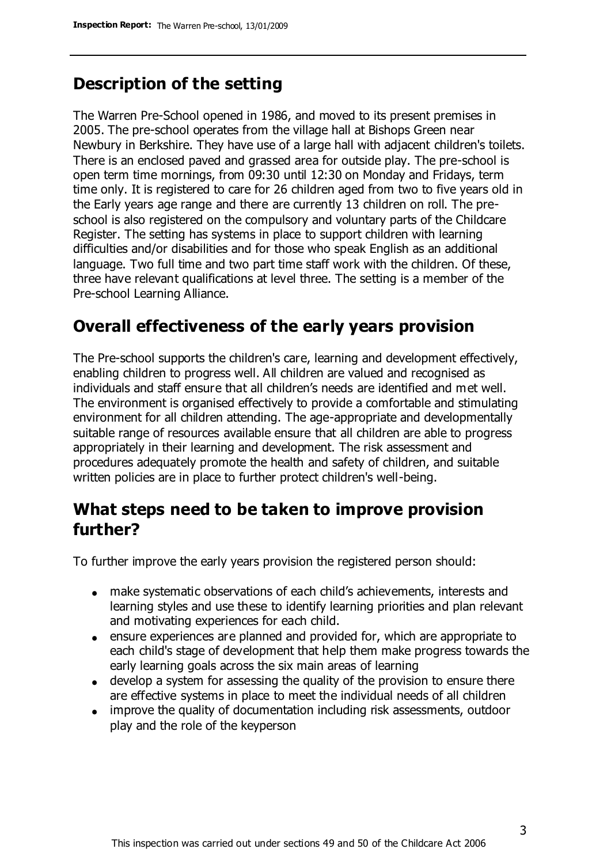# **Description of the setting**

The Warren Pre-School opened in 1986, and moved to its present premises in 2005. The pre-school operates from the village hall at Bishops Green near Newbury in Berkshire. They have use of a large hall with adjacent children's toilets. There is an enclosed paved and grassed area for outside play. The pre-school is open term time mornings, from 09:30 until 12:30 on Monday and Fridays, term time only. It is registered to care for 26 children aged from two to five years old in the Early years age range and there are currently 13 children on roll. The preschool is also registered on the compulsory and voluntary parts of the Childcare Register. The setting has systems in place to support children with learning difficulties and/or disabilities and for those who speak English as an additional language. Two full time and two part time staff work with the children. Of these, three have relevant qualifications at level three. The setting is a member of the Pre-school Learning Alliance.

### **Overall effectiveness of the early years provision**

The Pre-school supports the children's care, learning and development effectively, enabling children to progress well. All children are valued and recognised as individuals and staff ensure that all children's needs are identified and met well. The environment is organised effectively to provide a comfortable and stimulating environment for all children attending. The age-appropriate and developmentally suitable range of resources available ensure that all children are able to progress appropriately in their learning and development. The risk assessment and procedures adequately promote the health and safety of children, and suitable written policies are in place to further protect children's well-being.

### **What steps need to be taken to improve provision further?**

To further improve the early years provision the registered person should:

- make systematic observations of each child's achievements, interests and learning styles and use these to identify learning priorities and plan relevant and motivating experiences for each child.
- ensure experiences are planned and provided for, which are appropriate to each child's stage of development that help them make progress towards the early learning goals across the six main areas of learning
- develop a system for assessing the quality of the provision to ensure there are effective systems in place to meet the individual needs of all children
- improve the quality of documentation including risk assessments, outdoor play and the role of the keyperson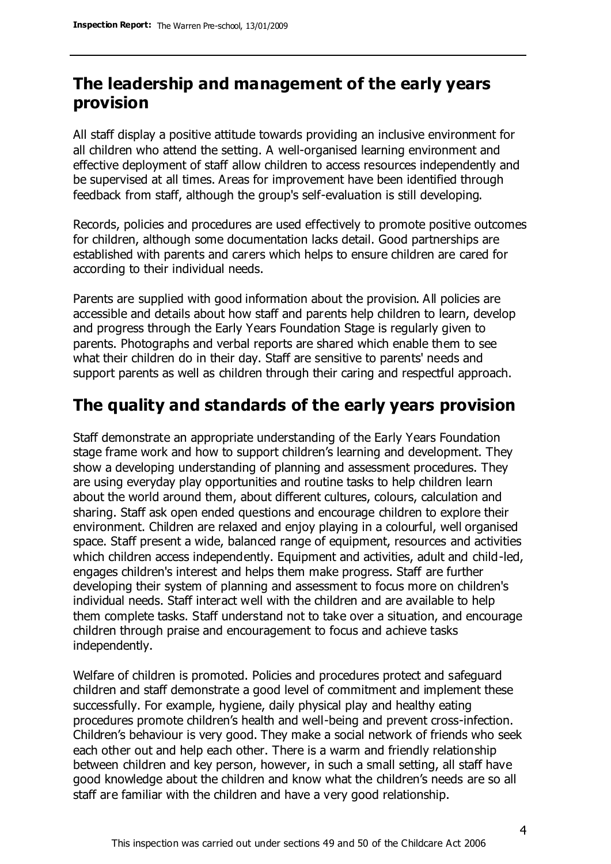# **The leadership and management of the early years provision**

All staff display a positive attitude towards providing an inclusive environment for all children who attend the setting. A well-organised learning environment and effective deployment of staff allow children to access resources independently and be supervised at all times. Areas for improvement have been identified through feedback from staff, although the group's self-evaluation is still developing.

Records, policies and procedures are used effectively to promote positive outcomes for children, although some documentation lacks detail. Good partnerships are established with parents and carers which helps to ensure children are cared for according to their individual needs.

Parents are supplied with good information about the provision. All policies are accessible and details about how staff and parents help children to learn, develop and progress through the Early Years Foundation Stage is regularly given to parents. Photographs and verbal reports are shared which enable them to see what their children do in their day. Staff are sensitive to parents' needs and support parents as well as children through their caring and respectful approach.

# **The quality and standards of the early years provision**

Staff demonstrate an appropriate understanding of the Early Years Foundation stage frame work and how to support children's learning and development. They show a developing understanding of planning and assessment procedures. They are using everyday play opportunities and routine tasks to help children learn about the world around them, about different cultures, colours, calculation and sharing. Staff ask open ended questions and encourage children to explore their environment. Children are relaxed and enjoy playing in a colourful, well organised space. Staff present a wide, balanced range of equipment, resources and activities which children access independently. Equipment and activities, adult and child-led, engages children's interest and helps them make progress. Staff are further developing their system of planning and assessment to focus more on children's individual needs. Staff interact well with the children and are available to help them complete tasks. Staff understand not to take over a situation, and encourage children through praise and encouragement to focus and achieve tasks independently.

Welfare of children is promoted. Policies and procedures protect and safeguard children and staff demonstrate a good level of commitment and implement these successfully. For example, hygiene, daily physical play and healthy eating procedures promote children's health and well-being and prevent cross-infection. Children's behaviour is very good. They make a social network of friends who seek each other out and help each other. There is a warm and friendly relationship between children and key person, however, in such a small setting, all staff have good knowledge about the children and know what the children's needs are so all staff are familiar with the children and have a very good relationship.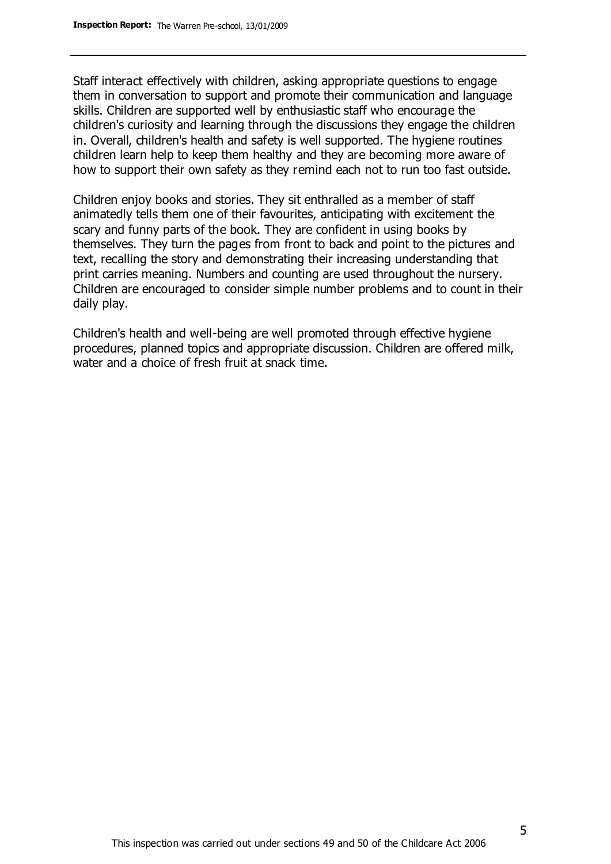Staff interact effectively with children, asking appropriate questions to engage them in conversation to support and promote their communication and language skills. Children are supported well by enthusiastic staff who encourage the children's curiosity and learning through the discussions they engage the children in. Overall, children's health and safety is well supported. The hygiene routines children learn help to keep them healthy and they are becoming more aware of how to support their own safety as they remind each not to run too fast outside.

Children enjoy books and stories. They sit enthralled as a member of staff animatedly tells them one of their favourites, anticipating with excitement the scary and funny parts of the book. They are confident in using books by themselves. They turn the pages from front to back and point to the pictures and text, recalling the story and demonstrating their increasing understanding that print carries meaning. Numbers and counting are used throughout the nursery. Children are encouraged to consider simple number problems and to count in their daily play.

Children's health and well-being are well promoted through effective hygiene procedures, planned topics and appropriate discussion. Children are offered milk, water and a choice of fresh fruit at snack time.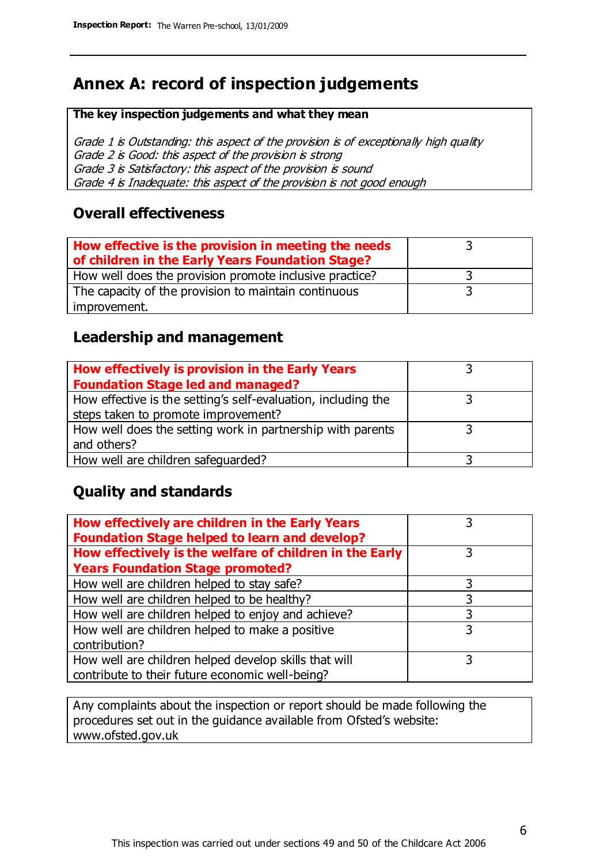# **Annex A: record of inspection judgements**

#### **The key inspection judgements and what they mean**

Grade 1 is Outstanding: this aspect of the provision is of exceptionally high quality Grade 2 is Good: this aspect of the provision is strong Grade 3 is Satisfactory: this aspect of the provision is sound Grade 4 is Inadequate: this aspect of the provision is not good enough

### **Overall effectiveness**

| How effective is the provision in meeting the needs<br>of children in the Early Years Foundation Stage? |  |
|---------------------------------------------------------------------------------------------------------|--|
| How well does the provision promote inclusive practice?                                                 |  |
| The capacity of the provision to maintain continuous                                                    |  |
| improvement.                                                                                            |  |

### **Leadership and management**

| How effectively is provision in the Early Years               |  |
|---------------------------------------------------------------|--|
| <b>Foundation Stage led and managed?</b>                      |  |
| How effective is the setting's self-evaluation, including the |  |
| steps taken to promote improvement?                           |  |
| How well does the setting work in partnership with parents    |  |
| and others?                                                   |  |
| How well are children safequarded?                            |  |

### **Quality and standards**

| How effectively are children in the Early Years<br><b>Foundation Stage helped to learn and develop?</b> |   |
|---------------------------------------------------------------------------------------------------------|---|
| How effectively is the welfare of children in the Early                                                 | 3 |
| <b>Years Foundation Stage promoted?</b>                                                                 |   |
| How well are children helped to stay safe?                                                              |   |
| How well are children helped to be healthy?                                                             | 3 |
| How well are children helped to enjoy and achieve?                                                      | 3 |
| How well are children helped to make a positive                                                         | 3 |
| contribution?                                                                                           |   |
| How well are children helped develop skills that will                                                   |   |
| contribute to their future economic well-being?                                                         |   |

Any complaints about the inspection or report should be made following the procedures set out in the guidance available from Ofsted's website: www.ofsted.gov.uk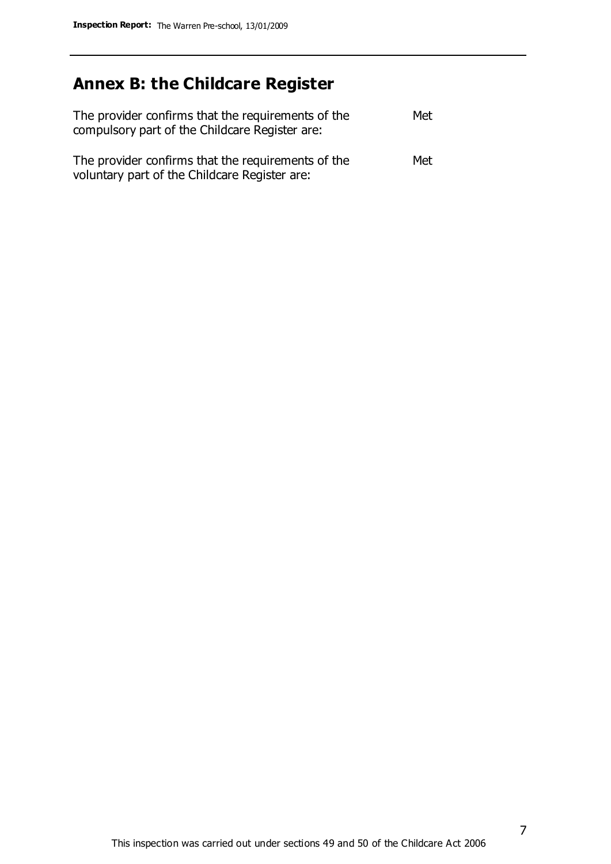# **Annex B: the Childcare Register**

| The provider confirms that the requirements of the<br>compulsory part of the Childcare Register are: | Met |
|------------------------------------------------------------------------------------------------------|-----|
| The provider confirms that the requirements of the<br>voluntary part of the Childcare Register are:  | Met |